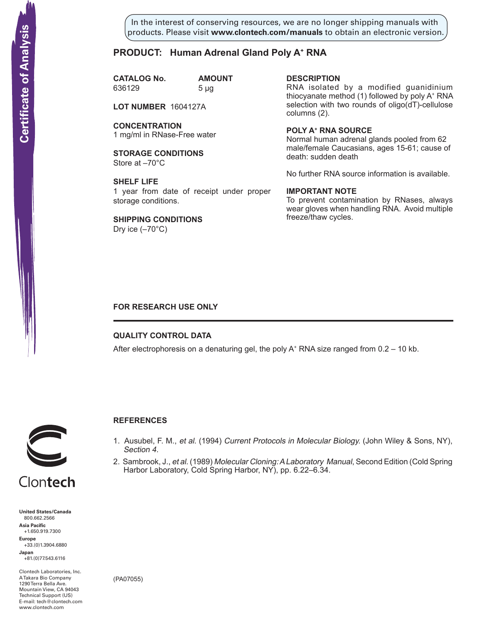In the interest of conserving resources, we are no longer shipping manuals with products. Please visit **www.clontech.com/manuals** to obtain an electronic version.

# **PRODUCT: Human Adrenal Gland Poly A+ RNA**

**CATALOG No. AMOUNT** 636129 5 µg

**LOT NUMBER** 1604127A

**CONCENTRATION** 1 mg/ml in RNase-Free water

**STORAGE CONDITIONS** Store at –70°C

**SHELF LIFE** 1 year from date of receipt under proper storage conditions.

**SHIPPING CONDITIONS** Dry ice  $(-70^{\circ}C)$ 

**description**

RNA isolated by a modified guanidinium thiocyanate method (1) followed by poly A+ RNA selection with two rounds of oligo(dT)-cellulose columns (2).

**Poly a+ RNA source** Normal human adrenal glands pooled from 62 male/female Caucasians, ages 15-61; cause of death: sudden death

No further RNA source information is available.

### **IMPORTANT NOTE**

To prevent contamination by RNases, always wear gloves when handling RNA. Avoid multiple freeze/thaw cycles.

# **FOR RESEARCH USE ONLY**

# **QUALITY CONTROL DATA**

After electrophoresis on a denaturing gel, the poly  $A^+$  RNA size ranged from 0.2 – 10 kb.



# **References**

- 1. Ausubel, F. M., et al. (1994) Current Protocols in Molecular Biology. (John Wiley & Sons, NY), Section 4.
- 2. Sambrook, J., et al. (1989) Molecular Cloning: A Laboratory Manual, Second Edition (Cold Spring Harbor Laboratory, Cold Spring Harbor, NY), pp. 6.22–6.34.



+1.650.919.7300 **Europe** +33.(0)1.3904.6880 **Japan** +81.(0)77.543.6116

Clontech Laboratories, Inc. A Takara Bio Company 1290 Terra Bella Ave. Mountain View, CA 94043 Technical Support (US) E-mail: tech@clontech.com<br>www.clontech.com

(PA07055)